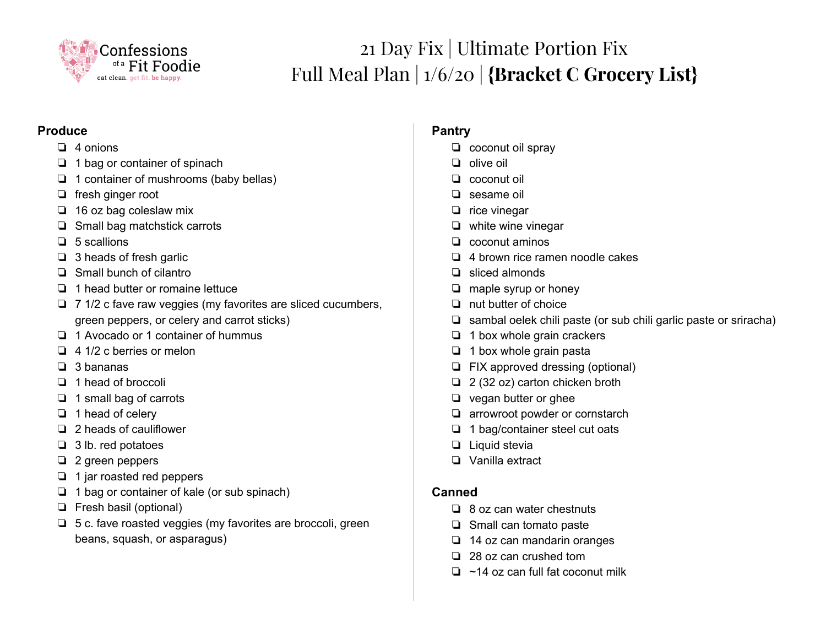

# 21 Day Fix | Ultimate Portion Fix Full Meal Plan | 1/6/20 | **{Bracket C Grocery List}**

#### **Produce**

- ❏ 4 onions
- ❏ 1 bag or container of spinach
- ❏ 1 container of mushrooms (baby bellas)
- ❏ fresh ginger root
- ❏ 16 oz bag coleslaw mix
- ❏ Small bag matchstick carrots
- ❏ 5 scallions
- ❏ 3 heads of fresh garlic
- ❏ Small bunch of cilantro
- ❏ 1 head butter or romaine lettuce
- ❏ 7 1/2 c fave raw veggies (my favorites are sliced cucumbers, green peppers, or celery and carrot sticks)
- ❏ 1 Avocado or 1 container of hummus
- ❏ 4 1/2 c berries or melon
- ❏ 3 bananas
- ❏ 1 head of broccoli
- ❏ 1 small bag of carrots
- ❏ 1 head of celery
- ❏ 2 heads of cauliflower
- ❏ 3 lb. red potatoes
- ❏ 2 green peppers
- ❏ 1 jar roasted red peppers
- ❏ 1 bag or container of kale (or sub spinach)
- ❏ Fresh basil (optional)
- ❏ 5 c. fave roasted veggies (my favorites are broccoli, green beans, squash, or asparagus)

# **Pantry**

- ❏ coconut oil spray
- ❏ olive oil
- ❏ coconut oil
- ❏ sesame oil
- ❏ rice vinegar
- ❏ white wine vinegar
- ❏ coconut aminos
- ❏ 4 brown rice ramen noodle cakes
- ❏ sliced almonds
- ❏ maple syrup or honey
- ❏ nut butter of choice
- ❏ sambal oelek chili paste (or sub chili garlic paste or sriracha)
- ❏ 1 box whole grain crackers
- ❏ 1 box whole grain pasta
- ❏ FIX approved dressing (optional)
- ❏ 2 (32 oz) carton chicken broth
- ❏ vegan butter or ghee
- ❏ arrowroot powder or cornstarch
- ❏ 1 bag/container steel cut oats
- ❏ Liquid stevia
- ❏ Vanilla extract

#### **Canned**

- ❏ 8 oz can water chestnuts
- ❏ Small can tomato paste
- ❏ 14 oz can mandarin oranges
- ❏ 28 oz can crushed tom
- ❏ ~14 oz can full fat coconut milk